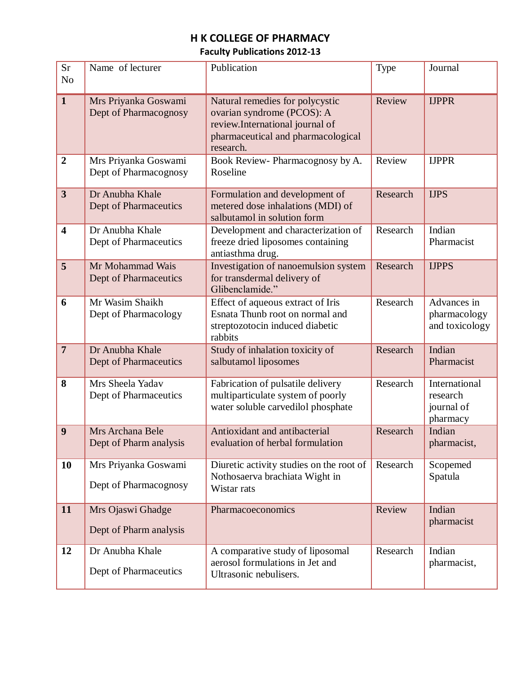## **H K COLLEGE OF PHARMACY**

## **Faculty Publications 2012-13**

| <b>Sr</b><br>N <sub>o</sub> | Name of lecturer                              | Publication                                                                                                                                         | Type     | Journal                                             |
|-----------------------------|-----------------------------------------------|-----------------------------------------------------------------------------------------------------------------------------------------------------|----------|-----------------------------------------------------|
|                             |                                               |                                                                                                                                                     |          |                                                     |
| $\mathbf{1}$                | Mrs Priyanka Goswami<br>Dept of Pharmacognosy | Natural remedies for polycystic<br>ovarian syndrome (PCOS): A<br>review.International journal of<br>pharmaceutical and pharmacological<br>research. | Review   | <b>IJPPR</b>                                        |
| $\overline{2}$              | Mrs Priyanka Goswami<br>Dept of Pharmacognosy | Book Review-Pharmacognosy by A.<br>Roseline                                                                                                         | Review   | <b>IJPPR</b>                                        |
| $\overline{\mathbf{3}}$     | Dr Anubha Khale<br>Dept of Pharmaceutics      | Formulation and development of<br>metered dose inhalations (MDI) of<br>salbutamol in solution form                                                  | Research | <b>IJPS</b>                                         |
| $\overline{\mathbf{4}}$     | Dr Anubha Khale<br>Dept of Pharmaceutics      | Development and characterization of<br>freeze dried liposomes containing<br>antiasthma drug.                                                        | Research | Indian<br>Pharmacist                                |
| 5                           | Mr Mohammad Wais<br>Dept of Pharmaceutics     | Investigation of nanoemulsion system<br>for transdermal delivery of<br>Glibenclamide."                                                              | Research | <b>IJPPS</b>                                        |
| 6                           | Mr Wasim Shaikh<br>Dept of Pharmacology       | Effect of aqueous extract of Iris<br>Esnata Thunb root on normal and<br>streptozotocin induced diabetic<br>rabbits                                  | Research | Advances in<br>pharmacology<br>and toxicology       |
| $\overline{7}$              | Dr Anubha Khale<br>Dept of Pharmaceutics      | Study of inhalation toxicity of<br>salbutamol liposomes                                                                                             | Research | Indian<br>Pharmacist                                |
| 8                           | Mrs Sheela Yadav<br>Dept of Pharmaceutics     | Fabrication of pulsatile delivery<br>multiparticulate system of poorly<br>water soluble carvedilol phosphate                                        | Research | International<br>research<br>journal of<br>pharmacy |
| 9                           | Mrs Archana Bele<br>Dept of Pharm analysis    | Antioxidant and antibacterial<br>evaluation of herbal formulation                                                                                   | Research | Indian<br>pharmacist,                               |
| 10                          | Mrs Priyanka Goswami<br>Dept of Pharmacognosy | Diuretic activity studies on the root of<br>Nothosaerva brachiata Wight in<br>Wistar rats                                                           | Research | Scopemed<br>Spatula                                 |
| 11                          | Mrs Ojaswi Ghadge<br>Dept of Pharm analysis   | Pharmacoeconomics                                                                                                                                   | Review   | Indian<br>pharmacist                                |
| 12                          | Dr Anubha Khale<br>Dept of Pharmaceutics      | A comparative study of liposomal<br>aerosol formulations in Jet and<br>Ultrasonic nebulisers.                                                       | Research | Indian<br>pharmacist,                               |